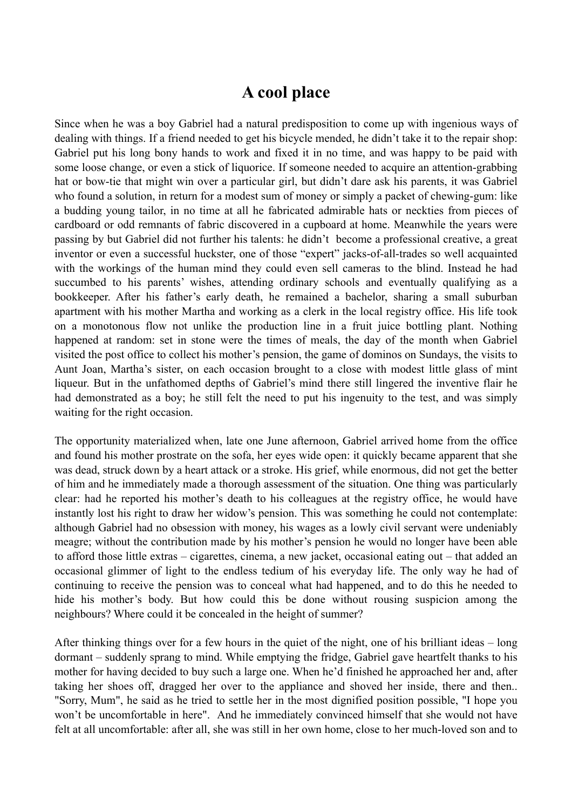## **A cool place**

Since when he was a boy Gabriel had a natural predisposition to come up with ingenious ways of dealing with things. If a friend needed to get his bicycle mended, he didn't take it to the repair shop: Gabriel put his long bony hands to work and fixed it in no time, and was happy to be paid with some loose change, or even a stick of liquorice. If someone needed to acquire an attention-grabbing hat or bow-tie that might win over a particular girl, but didn't dare ask his parents, it was Gabriel who found a solution, in return for a modest sum of money or simply a packet of chewing-gum: like a budding young tailor, in no time at all he fabricated admirable hats or neckties from pieces of cardboard or odd remnants of fabric discovered in a cupboard at home. Meanwhile the years were passing by but Gabriel did not further his talents: he didn't become a professional creative, a great inventor or even a successful huckster, one of those "expert" jacks-of-all-trades so well acquainted with the workings of the human mind they could even sell cameras to the blind. Instead he had succumbed to his parents' wishes, attending ordinary schools and eventually qualifying as a bookkeeper. After his father's early death, he remained a bachelor, sharing a small suburban apartment with his mother Martha and working as a clerk in the local registry office. His life took on a monotonous flow not unlike the production line in a fruit juice bottling plant. Nothing happened at random: set in stone were the times of meals, the day of the month when Gabriel visited the post office to collect his mother's pension, the game of dominos on Sundays, the visits to Aunt Joan, Martha's sister, on each occasion brought to a close with modest little glass of mint liqueur. But in the unfathomed depths of Gabriel's mind there still lingered the inventive flair he had demonstrated as a boy; he still felt the need to put his ingenuity to the test, and was simply waiting for the right occasion.

The opportunity materialized when, late one June afternoon, Gabriel arrived home from the office and found his mother prostrate on the sofa, her eyes wide open: it quickly became apparent that she was dead, struck down by a heart attack or a stroke. His grief, while enormous, did not get the better of him and he immediately made a thorough assessment of the situation. One thing was particularly clear: had he reported his mother's death to his colleagues at the registry office, he would have instantly lost his right to draw her widow's pension. This was something he could not contemplate: although Gabriel had no obsession with money, his wages as a lowly civil servant were undeniably meagre; without the contribution made by his mother's pension he would no longer have been able to afford those little extras – cigarettes, cinema, a new jacket, occasional eating out – that added an occasional glimmer of light to the endless tedium of his everyday life. The only way he had of continuing to receive the pension was to conceal what had happened, and to do this he needed to hide his mother's body. But how could this be done without rousing suspicion among the neighbours? Where could it be concealed in the height of summer?

After thinking things over for a few hours in the quiet of the night, one of his brilliant ideas – long dormant – suddenly sprang to mind. While emptying the fridge, Gabriel gave heartfelt thanks to his mother for having decided to buy such a large one. When he'd finished he approached her and, after taking her shoes off, dragged her over to the appliance and shoved her inside, there and then.. "Sorry, Mum", he said as he tried to settle her in the most dignified position possible, "I hope you won't be uncomfortable in here". And he immediately convinced himself that she would not have felt at all uncomfortable: after all, she was still in her own home, close to her much-loved son and to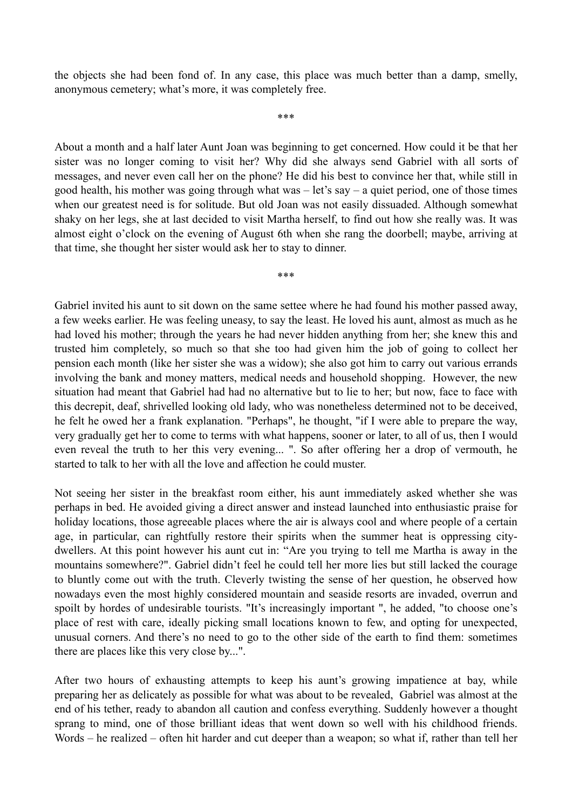the objects she had been fond of. In any case, this place was much better than a damp, smelly, anonymous cemetery; what's more, it was completely free.

\*\*\*

About a month and a half later Aunt Joan was beginning to get concerned. How could it be that her sister was no longer coming to visit her? Why did she always send Gabriel with all sorts of messages, and never even call her on the phone? He did his best to convince her that, while still in good health, his mother was going through what was  $-$  let's say  $-$  a quiet period, one of those times when our greatest need is for solitude. But old Joan was not easily dissuaded. Although somewhat shaky on her legs, she at last decided to visit Martha herself, to find out how she really was. It was almost eight o'clock on the evening of August 6th when she rang the doorbell; maybe, arriving at that time, she thought her sister would ask her to stay to dinner.

\*\*\*

Gabriel invited his aunt to sit down on the same settee where he had found his mother passed away, a few weeks earlier. He was feeling uneasy, to say the least. He loved his aunt, almost as much as he had loved his mother; through the years he had never hidden anything from her; she knew this and trusted him completely, so much so that she too had given him the job of going to collect her pension each month (like her sister she was a widow); she also got him to carry out various errands involving the bank and money matters, medical needs and household shopping. However, the new situation had meant that Gabriel had had no alternative but to lie to her; but now, face to face with this decrepit, deaf, shrivelled looking old lady, who was nonetheless determined not to be deceived, he felt he owed her a frank explanation. "Perhaps", he thought, "if I were able to prepare the way, very gradually get her to come to terms with what happens, sooner or later, to all of us, then I would even reveal the truth to her this very evening... ". So after offering her a drop of vermouth, he started to talk to her with all the love and affection he could muster.

Not seeing her sister in the breakfast room either, his aunt immediately asked whether she was perhaps in bed. He avoided giving a direct answer and instead launched into enthusiastic praise for holiday locations, those agreeable places where the air is always cool and where people of a certain age, in particular, can rightfully restore their spirits when the summer heat is oppressing citydwellers. At this point however his aunt cut in: "Are you trying to tell me Martha is away in the mountains somewhere?". Gabriel didn't feel he could tell her more lies but still lacked the courage to bluntly come out with the truth. Cleverly twisting the sense of her question, he observed how nowadays even the most highly considered mountain and seaside resorts are invaded, overrun and spoilt by hordes of undesirable tourists. "It's increasingly important ", he added, "to choose one's place of rest with care, ideally picking small locations known to few, and opting for unexpected, unusual corners. And there's no need to go to the other side of the earth to find them: sometimes there are places like this very close by...".

After two hours of exhausting attempts to keep his aunt's growing impatience at bay, while preparing her as delicately as possible for what was about to be revealed, Gabriel was almost at the end of his tether, ready to abandon all caution and confess everything. Suddenly however a thought sprang to mind, one of those brilliant ideas that went down so well with his childhood friends. Words – he realized – often hit harder and cut deeper than a weapon; so what if, rather than tell her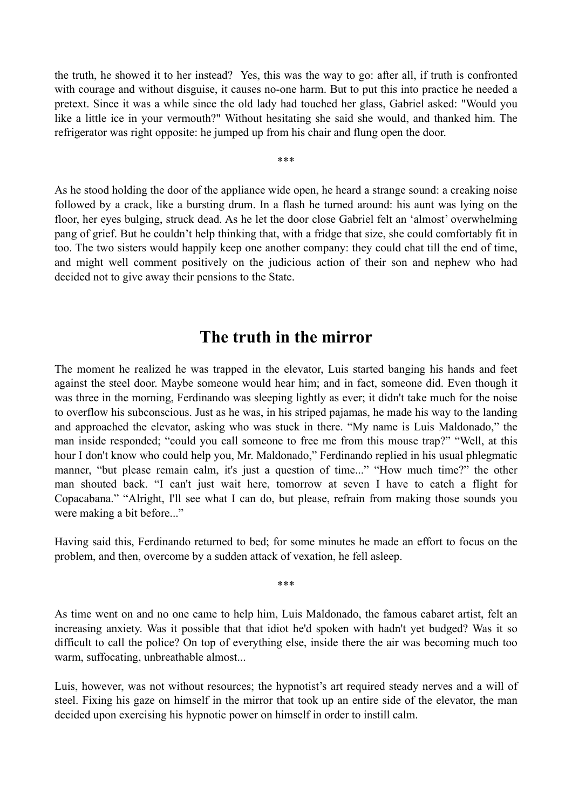the truth, he showed it to her instead? Yes, this was the way to go: after all, if truth is confronted with courage and without disguise, it causes no-one harm. But to put this into practice he needed a pretext. Since it was a while since the old lady had touched her glass, Gabriel asked: "Would you like a little ice in your vermouth?" Without hesitating she said she would, and thanked him. The refrigerator was right opposite: he jumped up from his chair and flung open the door.

\*\*\*

As he stood holding the door of the appliance wide open, he heard a strange sound: a creaking noise followed by a crack, like a bursting drum. In a flash he turned around: his aunt was lying on the floor, her eyes bulging, struck dead. As he let the door close Gabriel felt an 'almost' overwhelming pang of grief. But he couldn't help thinking that, with a fridge that size, she could comfortably fit in too. The two sisters would happily keep one another company: they could chat till the end of time, and might well comment positively on the judicious action of their son and nephew who had decided not to give away their pensions to the State.

## **The truth in the mirror**

The moment he realized he was trapped in the elevator, Luis started banging his hands and feet against the steel door. Maybe someone would hear him; and in fact, someone did. Even though it was three in the morning, Ferdinando was sleeping lightly as ever; it didn't take much for the noise to overflow his subconscious. Just as he was, in his striped pajamas, he made his way to the landing and approached the elevator, asking who was stuck in there. "My name is Luis Maldonado," the man inside responded; "could you call someone to free me from this mouse trap?" "Well, at this hour I don't know who could help you, Mr. Maldonado," Ferdinando replied in his usual phlegmatic manner, "but please remain calm, it's just a question of time..." "How much time?" the other man shouted back. "I can't just wait here, tomorrow at seven I have to catch a flight for Copacabana." "Alright, I'll see what I can do, but please, refrain from making those sounds you were making a bit before..."

Having said this, Ferdinando returned to bed; for some minutes he made an effort to focus on the problem, and then, overcome by a sudden attack of vexation, he fell asleep.

\*\*\*

As time went on and no one came to help him, Luis Maldonado, the famous cabaret artist, felt an increasing anxiety. Was it possible that that idiot he'd spoken with hadn't yet budged? Was it so difficult to call the police? On top of everything else, inside there the air was becoming much too warm, suffocating, unbreathable almost...

Luis, however, was not without resources; the hypnotist's art required steady nerves and a will of steel. Fixing his gaze on himself in the mirror that took up an entire side of the elevator, the man decided upon exercising his hypnotic power on himself in order to instill calm.